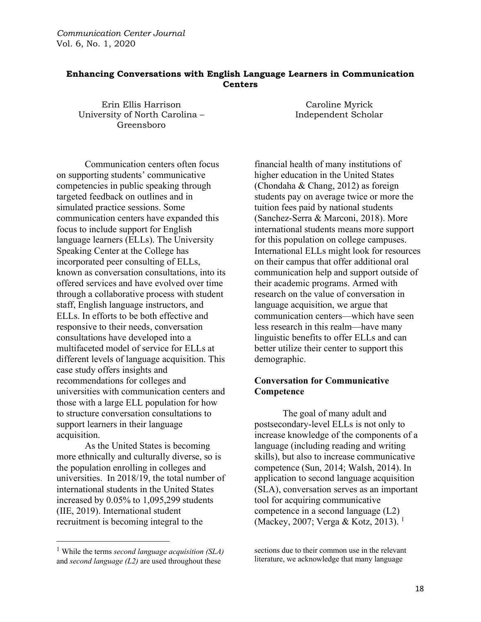## **Enhancing Conversations with English Language Learners in Communication Centers**

Erin Ellis Harrison University of North Carolina – Greensboro

Communication centers often focus on supporting students' communicative competencies in public speaking through targeted feedback on outlines and in simulated practice sessions. Some communication centers have expanded this focus to include support for English language learners (ELLs). The University Speaking Center at the College has incorporated peer consulting of ELLs, known as conversation consultations, into its offered services and have evolved over time through a collaborative process with student staff, English language instructors, and ELLs. In efforts to be both effective and responsive to their needs, conversation consultations have developed into a multifaceted model of service for ELLs at different levels of language acquisition. This case study offers insights and recommendations for colleges and universities with communication centers and those with a large ELL population for how to structure conversation consultations to support learners in their language acquisition.

As the United States is becoming more ethnically and culturally diverse, so is the population enrolling in colleges and universities. In 2018/19, the total number of international students in the United States increased by 0.05% to 1,095,299 students (IIE, 2019). International student recruitment is becoming integral to the

Caroline Myrick Independent Scholar

financial health of many institutions of higher education in the United States (Chondaha & Chang, 2012) as foreign students pay on average twice or more the tuition fees paid by national students (Sanchez-Serra & Marconi, 2018). More international students means more support for this population on college campuses. International ELLs might look for resources on their campus that offer additional oral communication help and support outside of their academic programs. Armed with research on the value of conversation in language acquisition, we argue that communication centers—which have seen less research in this realm—have many linguistic benefits to offer ELLs and can better utilize their center to support this demographic.

# **Conversation for Communicative Competence**

The goal of many adult and postsecondary-level ELLs is not only to increase knowledge of the components of a language (including reading and writing skills), but also to increase communicative competence (Sun, 2014; Walsh, 2014). In application to second language acquisition (SLA), conversation serves as an important tool for acquiring communicative competence in a second language (L2) (Mackey, 2007; Verga & Kotz, 2013).<sup>1</sup>

<sup>1</sup> While the terms *second language acquisition (SLA)*  and *second language (L2)* are used throughout these

sections due to their common use in the relevant literature, we acknowledge that many language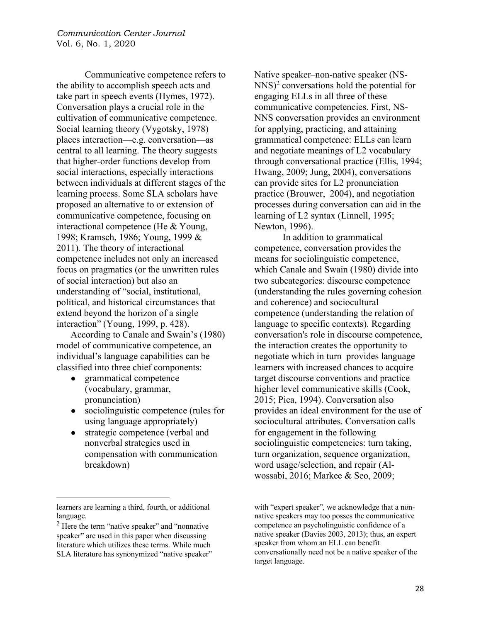Communicative competence refers to the ability to accomplish speech acts and take part in speech events (Hymes, 1972). Conversation plays a crucial role in the cultivation of communicative competence. Social learning theory (Vygotsky, 1978) places interaction—e.g. conversation—as central to all learning. The theory suggests that higher-order functions develop from social interactions, especially interactions between individuals at different stages of the learning process. Some SLA scholars have proposed an alternative to or extension of communicative competence, focusing on interactional competence (He & Young, 1998; Kramsch, 1986; Young, 1999 & 2011)*.* The theory of interactional competence includes not only an increased focus on pragmatics (or the unwritten rules of social interaction) but also an understanding of "social, institutional, political, and historical circumstances that extend beyond the horizon of a single interaction" (Young, 1999, p. 428).

According to Canale and Swain's (1980) model of communicative competence, an individual's language capabilities can be classified into three chief components:

- grammatical competence (vocabulary, grammar, pronunciation)
- sociolinguistic competence (rules for using language appropriately)
- strategic competence (verbal and nonverbal strategies used in compensation with communication breakdown)

Native speaker–non-native speaker (NS- $NNS$ <sup>2</sup> conversations hold the potential for engaging ELLs in all three of these communicative competencies. First, NS-NNS conversation provides an environment for applying, practicing, and attaining grammatical competence: ELLs can learn and negotiate meanings of L2 vocabulary through conversational practice (Ellis, 1994; Hwang, 2009; Jung, 2004), conversations can provide sites for L2 pronunciation practice (Brouwer, 2004), and negotiation processes during conversation can aid in the learning of L2 syntax (Linnell, 1995; Newton, 1996).

In addition to grammatical competence, conversation provides the means for sociolinguistic competence, which Canale and Swain (1980) divide into two subcategories: discourse competence (understanding the rules governing cohesion and coherence) and sociocultural competence (understanding the relation of language to specific contexts). Regarding conversation's role in discourse competence, the interaction creates the opportunity to negotiate which in turn provides language learners with increased chances to acquire target discourse conventions and practice higher level communicative skills (Cook, 2015; Pica, 1994). Conversation also provides an ideal environment for the use of sociocultural attributes. Conversation calls for engagement in the following sociolinguistic competencies: turn taking, turn organization, sequence organization, word usage/selection, and repair (Alwossabi, 2016; Markee & Seo, 2009;

learners are learning a third, fourth, or additional language.

 $<sup>2</sup>$  Here the term "native speaker" and "nonnative</sup> speaker" are used in this paper when discussing literature which utilizes these terms. While much SLA literature has synonymized "native speaker"

with "expert speaker"*,* we acknowledge that a nonnative speakers may too posses the communicative competence an psycholinguistic confidence of a native speaker (Davies 2003, 2013); thus, an expert speaker from whom an ELL can benefit conversationally need not be a native speaker of the target language.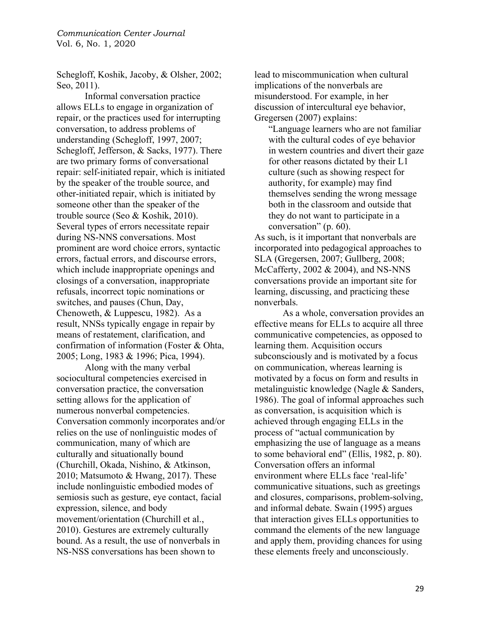Schegloff, Koshik, Jacoby, & Olsher, 2002; Seo, 2011).

Informal conversation practice allows ELLs to engage in organization of repair, or the practices used for interrupting conversation, to address problems of understanding (Schegloff, 1997, 2007; Schegloff, Jefferson, & Sacks, 1977). There are two primary forms of conversational repair: self-initiated repair, which is initiated by the speaker of the trouble source, and other-initiated repair, which is initiated by someone other than the speaker of the trouble source (Seo & Koshik, 2010). Several types of errors necessitate repair during NS-NNS conversations. Most prominent are word choice errors, syntactic errors, factual errors, and discourse errors, which include inappropriate openings and closings of a conversation, inappropriate refusals, incorrect topic nominations or switches, and pauses (Chun, Day, Chenoweth, & Luppescu, 1982). As a result, NNSs typically engage in repair by means of restatement, clarification, and confirmation of information (Foster & Ohta, 2005; Long, 1983 & 1996; Pica, 1994).

Along with the many verbal sociocultural competencies exercised in conversation practice, the conversation setting allows for the application of numerous nonverbal competencies. Conversation commonly incorporates and/or relies on the use of nonlinguistic modes of communication, many of which are culturally and situationally bound (Churchill, Okada, Nishino, & Atkinson, 2010; Matsumoto & Hwang, 2017). These include nonlinguistic embodied modes of semiosis such as gesture, eye contact, facial expression, silence, and body movement/orientation (Churchill et al., 2010). Gestures are extremely culturally bound. As a result, the use of nonverbals in NS-NSS conversations has been shown to

lead to miscommunication when cultural implications of the nonverbals are misunderstood. For example, in her discussion of intercultural eye behavior, Gregersen (2007) explains:

"Language learners who are not familiar with the cultural codes of eye behavior in western countries and divert their gaze for other reasons dictated by their L1 culture (such as showing respect for authority, for example) may find themselves sending the wrong message both in the classroom and outside that they do not want to participate in a conversation" (p. 60).

As such, is it important that nonverbals are incorporated into pedagogical approaches to SLA (Gregersen, 2007; Gullberg, 2008; McCafferty, 2002 & 2004), and NS-NNS conversations provide an important site for learning, discussing, and practicing these nonverbals.

As a whole, conversation provides an effective means for ELLs to acquire all three communicative competencies, as opposed to learning them. Acquisition occurs subconsciously and is motivated by a focus on communication, whereas learning is motivated by a focus on form and results in metalinguistic knowledge (Nagle & Sanders, 1986). The goal of informal approaches such as conversation, is acquisition which is achieved through engaging ELLs in the process of "actual communication by emphasizing the use of language as a means to some behavioral end" (Ellis, 1982, p. 80). Conversation offers an informal environment where ELLs face 'real-life' communicative situations, such as greetings and closures, comparisons, problem-solving, and informal debate. Swain (1995) argues that interaction gives ELLs opportunities to command the elements of the new language and apply them, providing chances for using these elements freely and unconsciously.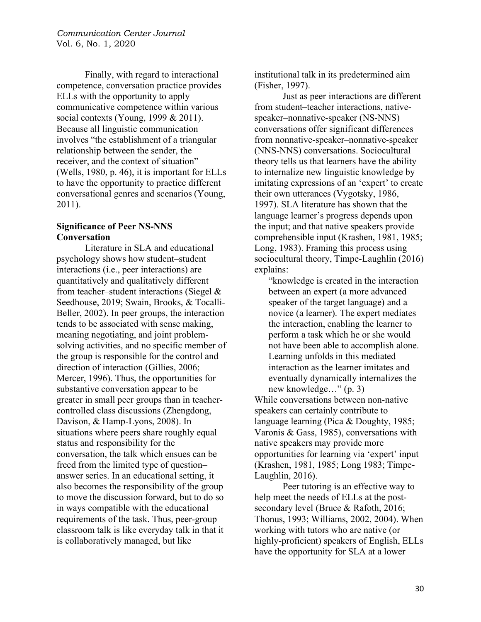Finally, with regard to interactional competence, conversation practice provides ELLs with the opportunity to apply communicative competence within various social contexts (Young, 1999 & 2011). Because all linguistic communication involves "the establishment of a triangular relationship between the sender, the receiver, and the context of situation" (Wells, 1980, p. 46), it is important for ELLs to have the opportunity to practice different conversational genres and scenarios (Young, 2011).

## **Significance of Peer NS-NNS Conversation**

Literature in SLA and educational psychology shows how student–student interactions (i.e., peer interactions) are quantitatively and qualitatively different from teacher–student interactions (Siegel & Seedhouse, 2019; Swain, Brooks, & Tocalli-Beller, 2002). In peer groups, the interaction tends to be associated with sense making, meaning negotiating, and joint problemsolving activities, and no specific member of the group is responsible for the control and direction of interaction (Gillies, 2006; Mercer, 1996). Thus, the opportunities for substantive conversation appear to be greater in small peer groups than in teachercontrolled class discussions (Zhengdong, Davison, & Hamp-Lyons, 2008). In situations where peers share roughly equal status and responsibility for the conversation, the talk which ensues can be freed from the limited type of question– answer series. In an educational setting, it also becomes the responsibility of the group to move the discussion forward, but to do so in ways compatible with the educational requirements of the task. Thus, peer-group classroom talk is like everyday talk in that it is collaboratively managed, but like

institutional talk in its predetermined aim (Fisher, 1997).

Just as peer interactions are different from student–teacher interactions, nativespeaker–nonnative-speaker (NS-NNS) conversations offer significant differences from nonnative-speaker–nonnative-speaker (NNS-NNS) conversations. Sociocultural theory tells us that learners have the ability to internalize new linguistic knowledge by imitating expressions of an 'expert' to create their own utterances (Vygotsky, 1986, 1997). SLA literature has shown that the language learner's progress depends upon the input; and that native speakers provide comprehensible input (Krashen, 1981, 1985; Long, 1983). Framing this process using sociocultural theory, Timpe-Laughlin (2016) explains:

"knowledge is created in the interaction between an expert (a more advanced speaker of the target language) and a novice (a learner). The expert mediates the interaction, enabling the learner to perform a task which he or she would not have been able to accomplish alone. Learning unfolds in this mediated interaction as the learner imitates and eventually dynamically internalizes the new knowledge…" (p. 3)

While conversations between non-native speakers can certainly contribute to language learning (Pica & Doughty, 1985; Varonis & Gass, 1985), conversations with native speakers may provide more opportunities for learning via 'expert' input (Krashen, 1981, 1985; Long 1983; Timpe-Laughlin, 2016).

Peer tutoring is an effective way to help meet the needs of ELLs at the postsecondary level (Bruce & Rafoth, 2016; Thonus, 1993; Williams, 2002, 2004). When working with tutors who are native (or highly-proficient) speakers of English, ELLs have the opportunity for SLA at a lower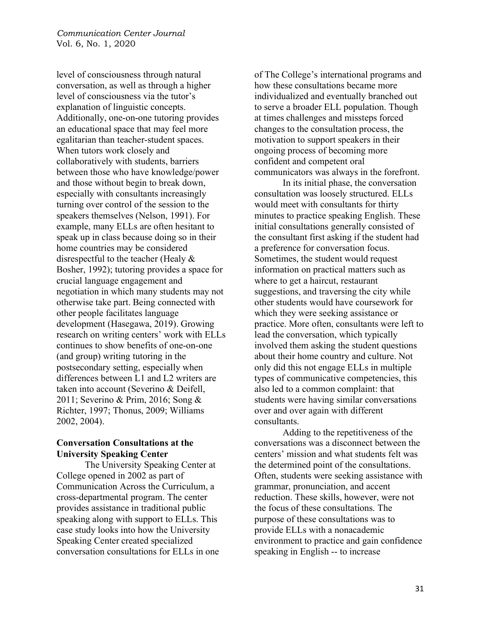level of consciousness through natural conversation, as well as through a higher level of consciousness via the tutor's explanation of linguistic concepts. Additionally, one-on-one tutoring provides an educational space that may feel more egalitarian than teacher-student spaces. When tutors work closely and collaboratively with students, barriers between those who have knowledge/power and those without begin to break down, especially with consultants increasingly turning over control of the session to the speakers themselves (Nelson, 1991). For example, many ELLs are often hesitant to speak up in class because doing so in their home countries may be considered disrespectful to the teacher (Healy & Bosher, 1992); tutoring provides a space for crucial language engagement and negotiation in which many students may not otherwise take part. Being connected with other people facilitates language development (Hasegawa, 2019). Growing research on writing centers' work with ELLs continues to show benefits of one-on-one (and group) writing tutoring in the postsecondary setting, especially when differences between L1 and L2 writers are taken into account (Severino & Deifell, 2011; Severino & Prim, 2016; Song & Richter, 1997; Thonus, 2009; Williams 2002, 2004).

## **Conversation Consultations at the University Speaking Center**

The University Speaking Center at College opened in 2002 as part of Communication Across the Curriculum, a cross-departmental program. The center provides assistance in traditional public speaking along with support to ELLs. This case study looks into how the University Speaking Center created specialized conversation consultations for ELLs in one of The College's international programs and how these consultations became more individualized and eventually branched out to serve a broader ELL population. Though at times challenges and missteps forced changes to the consultation process, the motivation to support speakers in their ongoing process of becoming more confident and competent oral communicators was always in the forefront.

In its initial phase, the conversation consultation was loosely structured. ELLs would meet with consultants for thirty minutes to practice speaking English. These initial consultations generally consisted of the consultant first asking if the student had a preference for conversation focus. Sometimes, the student would request information on practical matters such as where to get a haircut, restaurant suggestions, and traversing the city while other students would have coursework for which they were seeking assistance or practice. More often, consultants were left to lead the conversation, which typically involved them asking the student questions about their home country and culture. Not only did this not engage ELLs in multiple types of communicative competencies, this also led to a common complaint: that students were having similar conversations over and over again with different consultants.

Adding to the repetitiveness of the conversations was a disconnect between the centers' mission and what students felt was the determined point of the consultations. Often, students were seeking assistance with grammar, pronunciation, and accent reduction. These skills, however, were not the focus of these consultations. The purpose of these consultations was to provide ELLs with a nonacademic environment to practice and gain confidence speaking in English -- to increase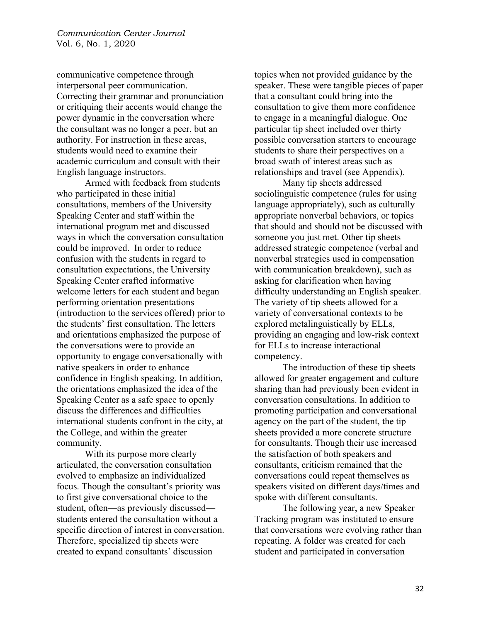communicative competence through interpersonal peer communication. Correcting their grammar and pronunciation or critiquing their accents would change the power dynamic in the conversation where the consultant was no longer a peer, but an authority. For instruction in these areas, students would need to examine their academic curriculum and consult with their English language instructors.

Armed with feedback from students who participated in these initial consultations, members of the University Speaking Center and staff within the international program met and discussed ways in which the conversation consultation could be improved. In order to reduce confusion with the students in regard to consultation expectations, the University Speaking Center crafted informative welcome letters for each student and began performing orientation presentations (introduction to the services offered) prior to the students' first consultation. The letters and orientations emphasized the purpose of the conversations were to provide an opportunity to engage conversationally with native speakers in order to enhance confidence in English speaking. In addition, the orientations emphasized the idea of the Speaking Center as a safe space to openly discuss the differences and difficulties international students confront in the city, at the College, and within the greater community.

With its purpose more clearly articulated, the conversation consultation evolved to emphasize an individualized focus. Though the consultant's priority was to first give conversational choice to the student, often—as previously discussed students entered the consultation without a specific direction of interest in conversation. Therefore, specialized tip sheets were created to expand consultants' discussion

topics when not provided guidance by the speaker. These were tangible pieces of paper that a consultant could bring into the consultation to give them more confidence to engage in a meaningful dialogue. One particular tip sheet included over thirty possible conversation starters to encourage students to share their perspectives on a broad swath of interest areas such as relationships and travel (see Appendix).

Many tip sheets addressed sociolinguistic competence (rules for using language appropriately), such as culturally appropriate nonverbal behaviors, or topics that should and should not be discussed with someone you just met. Other tip sheets addressed strategic competence (verbal and nonverbal strategies used in compensation with communication breakdown), such as asking for clarification when having difficulty understanding an English speaker. The variety of tip sheets allowed for a variety of conversational contexts to be explored metalinguistically by ELLs, providing an engaging and low-risk context for ELLs to increase interactional competency.

The introduction of these tip sheets allowed for greater engagement and culture sharing than had previously been evident in conversation consultations. In addition to promoting participation and conversational agency on the part of the student, the tip sheets provided a more concrete structure for consultants. Though their use increased the satisfaction of both speakers and consultants, criticism remained that the conversations could repeat themselves as speakers visited on different days/times and spoke with different consultants.

The following year, a new Speaker Tracking program was instituted to ensure that conversations were evolving rather than repeating. A folder was created for each student and participated in conversation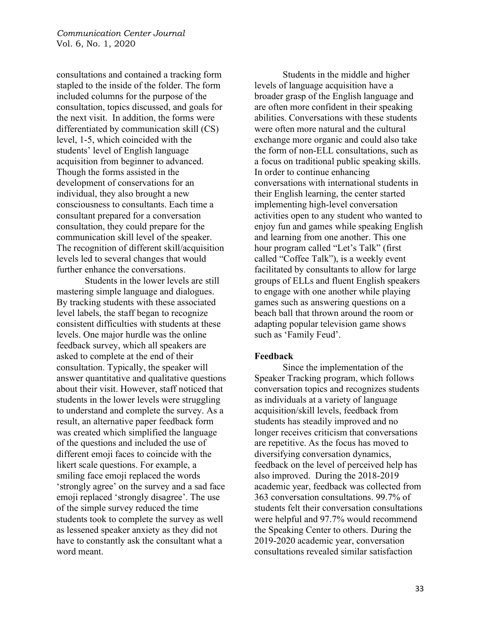consultations and contained a tracking form stapled to the inside of the folder. The form included columns for the purpose of the consultation, topics discussed, and goals for the next visit. In addition, the forms were differentiated by communication skill (CS) level, 1-5, which coincided with the students' level of English language acquisition from beginner to advanced. Though the forms assisted in the development of conservations for an individual, they also brought a new consciousness to consultants. Each time a consultant prepared for a conversation consultation, they could prepare for the communication skill level of the speaker. The recognition of different skill/acquisition levels led to several changes that would further enhance the conversations.

Students in the lower levels are still mastering simple language and dialogues. By tracking students with these associated level labels, the staff began to recognize consistent difficulties with students at these levels. One major hurdle was the online feedback survey, which all speakers are asked to complete at the end of their consultation. Typically, the speaker will answer quantitative and qualitative questions about their visit. However, staff noticed that students in the lower levels were struggling to understand and complete the survey. As a result, an alternative paper feedback form was created which simplified the language of the questions and included the use of different emoji faces to coincide with the likert scale questions. For example, a smiling face emoji replaced the words 'strongly agree' on the survey and a sad face emoji replaced 'strongly disagree'. The use of the simple survey reduced the time students took to complete the survey as well as lessened speaker anxiety as they did not have to constantly ask the consultant what a word meant.

Students in the middle and higher levels of language acquisition have a broader grasp of the English language and are often more confident in their speaking abilities. Conversations with these students were often more natural and the cultural exchange more organic and could also take the form of non-ELL consultations, such as a focus on traditional public speaking skills. In order to continue enhancing conversations with international students in their English learning, the center started implementing high-level conversation activities open to any student who wanted to enjoy fun and games while speaking English and learning from one another. This one hour program called "Let's Talk" (first called "Coffee Talk"), is a weekly event facilitated by consultants to allow for large groups of ELLs and fluent English speakers to engage with one another while playing games such as answering questions on a beach ball that thrown around the room or adapting popular television game shows such as 'Family Feud'.

### **Feedback**

Since the implementation of the Speaker Tracking program, which follows conversation topics and recognizes students as individuals at a variety of language acquisition/skill levels, feedback from students has steadily improved and no longer receives criticism that conversations are repetitive. As the focus has moved to diversifying conversation dynamics, feedback on the level of perceived help has also improved. During the 2018-2019 academic year, feedback was collected from 363 conversation consultations. 99.7% of students felt their conversation consultations were helpful and 97.7% would recommend the Speaking Center to others. During the 2019-2020 academic year, conversation consultations revealed similar satisfaction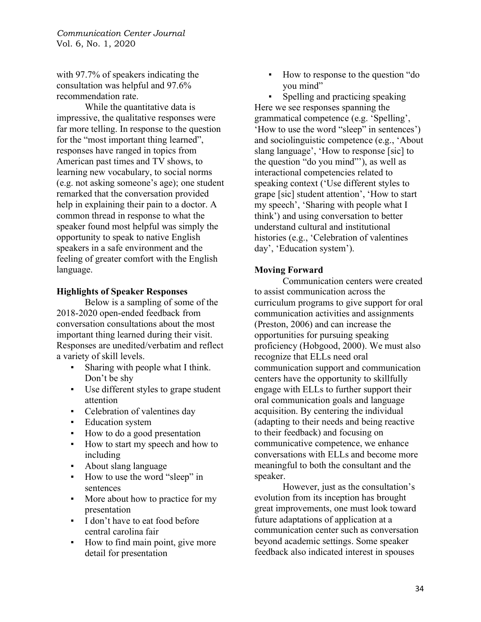with 97.7% of speakers indicating the consultation was helpful and 97.6% recommendation rate.

While the quantitative data is impressive, the qualitative responses were far more telling. In response to the question for the "most important thing learned", responses have ranged in topics from American past times and TV shows, to learning new vocabulary, to social norms (e.g. not asking someone's age); one student remarked that the conversation provided help in explaining their pain to a doctor. A common thread in response to what the speaker found most helpful was simply the opportunity to speak to native English speakers in a safe environment and the feeling of greater comfort with the English language.

### **Highlights of Speaker Responses**

Below is a sampling of some of the 2018-2020 open-ended feedback from conversation consultations about the most important thing learned during their visit. Responses are unedited/verbatim and reflect a variety of skill levels.

- Sharing with people what I think. Don't be shy
- Use different styles to grape student attention
- Celebration of valentines day
- **Education system**
- How to do a good presentation
- How to start my speech and how to including
- About slang language
- How to use the word "sleep" in sentences
- More about how to practice for my presentation
- **I** don't have to eat food before central carolina fair
- How to find main point, give more detail for presentation

How to response to the question "do" you mind"

Spelling and practicing speaking Here we see responses spanning the grammatical competence (e.g. 'Spelling', 'How to use the word "sleep" in sentences') and sociolinguistic competence (e.g., 'About slang language', 'How to response [sic] to the question "do you mind"'), as well as interactional competencies related to speaking context ('Use different styles to grape [sic] student attention', 'How to start my speech', 'Sharing with people what I think') and using conversation to better understand cultural and institutional histories (e.g., 'Celebration of valentines day', 'Education system').

# **Moving Forward**

Communication centers were created to assist communication across the curriculum programs to give support for oral communication activities and assignments (Preston, 2006) and can increase the opportunities for pursuing speaking proficiency (Hobgood, 2000). We must also recognize that ELLs need oral communication support and communication centers have the opportunity to skillfully engage with ELLs to further support their oral communication goals and language acquisition. By centering the individual (adapting to their needs and being reactive to their feedback) and focusing on communicative competence, we enhance conversations with ELLs and become more meaningful to both the consultant and the speaker.

However, just as the consultation's evolution from its inception has brought great improvements, one must look toward future adaptations of application at a communication center such as conversation beyond academic settings. Some speaker feedback also indicated interest in spouses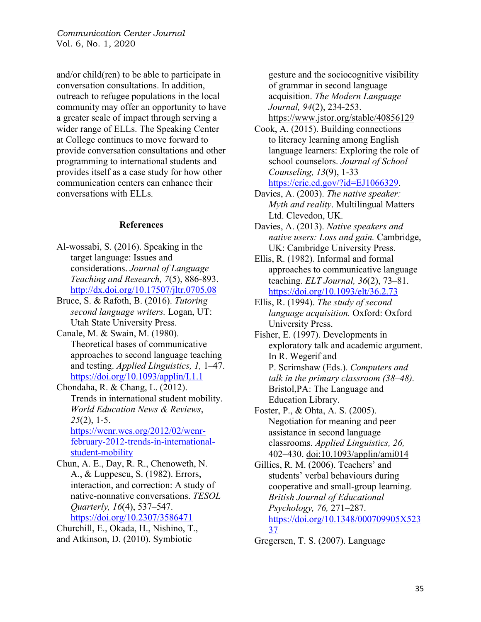and/or child(ren) to be able to participate in conversation consultations. In addition, outreach to refugee populations in the local community may offer an opportunity to have a greater scale of impact through serving a wider range of ELLs. The Speaking Center at College continues to move forward to provide conversation consultations and other programming to international students and provides itself as a case study for how other communication centers can enhance their conversations with ELLs.

#### **References**

- Al-wossabi, S. (2016). Speaking in the target language: Issues and considerations. *Journal of Language Teaching and Research, 7*(5), 886-893. http://dx.doi.org/10.17507/jltr.0705.08
- Bruce, S. & Rafoth, B. (2016). *Tutoring second language writers.* Logan, UT: Utah State University Press.
- Canale, M. & Swain, M. (1980). Theoretical bases of communicative approaches to second language teaching and testing. *Applied Linguistics, 1,* 1–47. https://doi.org/10.1093/applin/I.1.1

Chondaha, R. & Chang, L. (2012). Trends in international student mobility. *World Education News & Reviews*, *25*(2), 1-5.

https://wenr.wes.org/2012/02/wenrfebruary-2012-trends-in-internationalstudent-mobility

Chun, A. E., Day, R. R., Chenoweth, N. A., & Luppescu, S. (1982). Errors, interaction, and correction: A study of native-nonnative conversations. *TESOL Quarterly, 16*(4), 537–547. https://doi.org/10.2307/3586471

Churchill, E., Okada, H., Nishino, T., and Atkinson, D. (2010). Symbiotic

gesture and the sociocognitive visibility of grammar in second language acquisition. *The Modern Language Journal, 94*(2), 234-253.

https://www.jstor.org/stable/40856129

Cook, A. (2015). Building connections to literacy learning among English language learners: Exploring the role of school counselors. *Journal of School Counseling, 13*(9), 1-33 https://eric.ed.gov/?id=EJ1066329.

- Davies, A. (2003). *The native speaker: Myth and reality*. Multilingual Matters Ltd. Clevedon, UK.
- Davies, A. (2013). *Native speakers and native users: Loss and gain.* Cambridge, UK: Cambridge University Press.

Ellis, R. (1982). Informal and formal approaches to communicative language teaching. *ELT Journal, 36*(2), 73–81. https://doi.org/10.1093/elt/36.2.73

Ellis, R. (1994). *The study of second language acquisition.* Oxford: Oxford University Press.

Fisher, E. (1997). Developments in exploratory talk and academic argument. In R. Wegerif and P. Scrimshaw (Eds.). *Computers and talk in the primary classroom (38*–*48).*  Bristol,PA: The Language and Education Library.

Foster, P., & Ohta, A. S. (2005). Negotiation for meaning and peer assistance in second language classrooms. *Applied Linguistics, 26,* 402–430. doi:10.1093/applin/ami014

Gillies, R. M. (2006). Teachers' and students' verbal behaviours during cooperative and small-group learning. *British Journal of Educational Psychology, 76,* 271–287. https://doi.org/10.1348/000709905X523 37

Gregersen, T. S. (2007). Language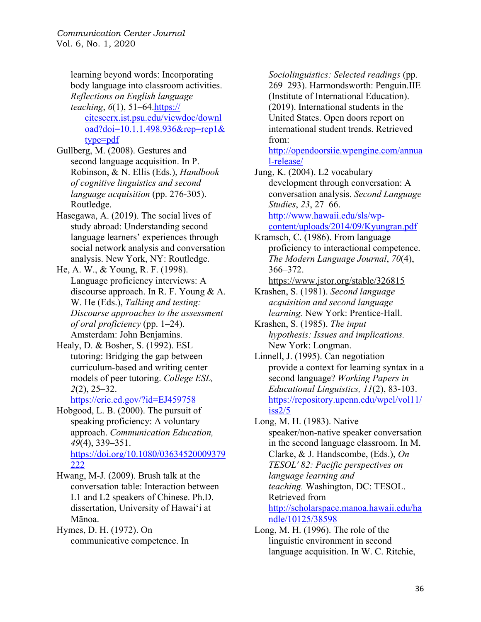learning beyond words: Incorporating body language into classroom activities. *Reflections on English language teaching*, *6*(1), 51–64.https:// citeseerx.ist.psu.edu/viewdoc/downl oad?doi=10.1.1.498.936&rep=rep1& type=pdf

- Gullberg, M. (2008). Gestures and second language acquisition. In P. Robinson, & N. Ellis (Eds.), *Handbook of cognitive linguistics and second language acquisition* (pp. 276-305). Routledge.
- Hasegawa, A. (2019). The social lives of study abroad: Understanding second language learners' experiences through social network analysis and conversation analysis. New York, NY: Routledge.
- He, A. W., & Young, R. F. (1998). Language proficiency interviews: A discourse approach. In R. F. Young & A. W. He (Eds.), *Talking and testing: Discourse approaches to the assessment of oral proficiency* (pp. 1–24). Amsterdam: John Benjamins.
- Healy, D. & Bosher, S. (1992). ESL tutoring: Bridging the gap between curriculum-based and writing center models of peer tutoring. *College ESL, 2*(2), 25–32.

https://eric.ed.gov/?id=EJ459758

Hobgood, L. B. (2000). The pursuit of speaking proficiency: A voluntary approach. *Communication Education, 49*(4), 339–351. https://doi.org/10.1080/03634520009379 222

Hwang, M‐J. (2009). Brush talk at the conversation table: Interaction between L1 and L2 speakers of Chinese. Ph.D. dissertation, University of Hawai'i at Mānoa.

Hymes, D. H. (1972). On communicative competence. In

*Sociolinguistics: Selected readings* (pp. 269–293). Harmondsworth: Penguin.IIE (Institute of International Education). (2019). International students in the United States. Open doors report on international student trends. Retrieved from:

http://opendoorsiie.wpengine.com/annua l-release/

Jung, K. (2004). L2 vocabulary development through conversation: A conversation analysis. *Second Language Studies*, *23*, 27–66. http://www.hawaii.edu/sls/wpcontent/uploads/2014/09/Kyungran.pdf

Kramsch, C. (1986). From language proficiency to interactional competence. *The Modern Language Journal*, *70*(4), 366–372.

https://www.jstor.org/stable/326815

Krashen, S. (1981). *Second language acquisition and second language learning.* New York: Prentice-Hall.

Krashen, S. (1985). *The input hypothesis: Issues and implications.* New York: Longman.

Linnell, J. (1995). Can negotiation provide a context for learning syntax in a second language? *Working Papers in Educational Linguistics, 11*(2), 83-103. https://repository.upenn.edu/wpel/vol11/  $iss2/5$ 

Long, M. H. (1983). Native speaker/non-native speaker conversation in the second language classroom. In M. Clarke, & J. Handscombe, (Eds.), *On TESOL' 82: Pacific perspectives on language learning and teaching.* Washington, DC: TESOL. Retrieved from http://scholarspace.manoa.hawaii.edu/ha ndle/10125/38598

Long, M. H. (1996). The role of the linguistic environment in second language acquisition. In W. C. Ritchie,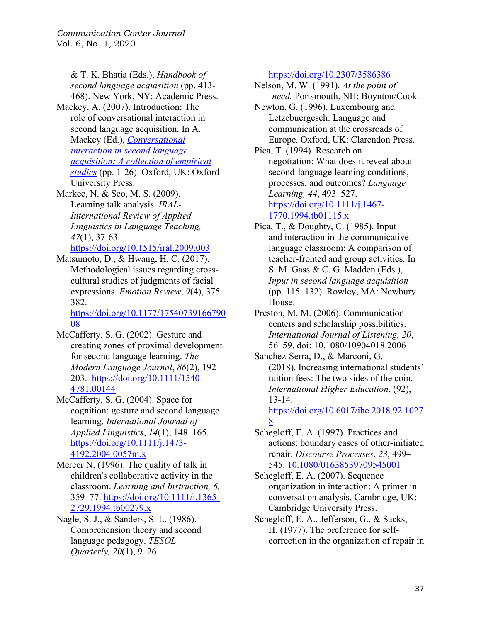& T. K. Bhatia (Eds.), *Handbook of second language acquisition* (pp. 413- 468). New York, NY: Academic Press.

Mackey. A. (2007). Introduction: The role of conversational interaction in second language acquisition. In A. Mackey (Ed.), *Conversational interaction in second language acquisition: A collection of empirical studies* (pp. 1-26). Oxford, UK: Oxford University Press.

Markee, N. & Seo, M. S. (2009). Learning talk analysis. *IRAL-International Review of Applied Linguistics in Language Teaching, 47*(1), 37-63.

https://doi.org/10.1515/iral.2009.003

Matsumoto, D., & Hwang, H. C. (2017). Methodological issues regarding crosscultural studies of judgments of facial expressions. *Emotion Review*, *9*(4), 375– 382.

https://doi.org/10.1177/17540739166790 08

McCafferty, S. G. (2002). Gesture and creating zones of proximal development for second language learning. *The Modern Language Journal*, *86*(2), 192– 203. https://doi.org/10.1111/1540- 4781.00144

McCafferty, S. G. (2004). Space for cognition: gesture and second language learning. *International Journal of Applied Linguistics*, *14*(1), 148–165. https://doi.org/10.1111/j.1473- 4192.2004.0057m.x

Mercer N. (1996). The quality of talk in children's collaborative activity in the classroom. *Learning and Instruction, 6,* 359–77. https://doi.org/10.1111/j.1365- 2729.1994.tb00279.x

Nagle, S. J., & Sanders, S. L. (1986). Comprehension theory and second language pedagogy. *TESOL Quarterly, 20*(1), 9–26.

https://doi.org/10.2307/3586386

Nelson, M. W. (1991). *At the point of need.* Portsmouth, NH: Boynton/Cook.

Newton, G. (1996). Luxembourg and Letzebuergesch: Language and communication at the crossroads of Europe. Oxford, UK: Clarendon Press.

Pica, T. (1994). Research on negotiation: What does it reveal about second-language learning conditions, processes, and outcomes? *Language Learning, 44*, 493–527. https://doi.org/10.1111/j.1467- 1770.1994.tb01115.x

Pica, T., & Doughty, C. (1985). Input and interaction in the communicative language classroom: A comparison of teacher-fronted and group activities. In S. M. Gass & C. G. Madden (Eds.), *Input in second language acquisition* (pp. 115–132). Rowley, MA: Newbury House.

Preston, M. M. (2006). Communication centers and scholarship possibilities. *International Journal of Listening, 20*, 56–59. doi: 10.1080/10904018.2006

Sanchez-Serra, D., & Marconi, G. (2018). Increasing international students' tuition fees: The two sides of the coin. *International Higher Education*, (92), 13-14. https://doi.org/10.6017/ihe.2018.92.1027

8 Schegloff, E. A. (1997). Practices and actions: boundary cases of other-initiated repair. *Discourse Processes*, *23*, 499–

545. 10.1080/01638539709545001

Schegloff, E. A. (2007). Sequence organization in interaction: A primer in conversation analysis. Cambridge, UK: Cambridge University Press.

Schegloff, E. A., Jefferson, G., & Sacks, H. (1977). The preference for selfcorrection in the organization of repair in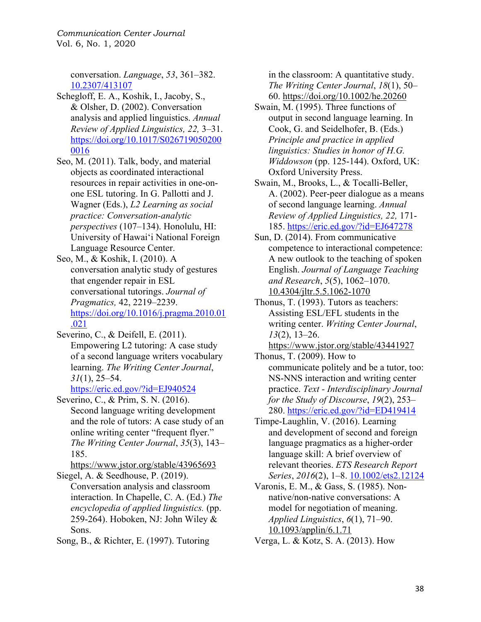> conversation. *Language*, *53*, 361–382. 10.2307/413107

Schegloff, E. A., Koshik, I., Jacoby, S., & Olsher, D. (2002). Conversation analysis and applied linguistics. *Annual Review of Applied Linguistics, 22,* 3–31. https://doi.org/10.1017/S026719050200 0016

Seo, M. (2011). Talk, body, and material objects as coordinated interactional resources in repair activities in one‐on‐ one ESL tutoring. In G. Pallotti and J. Wagner (Eds.), *L2 Learning as social practice: Conversation‐analytic perspectives* (107–134). Honolulu, HI: University of Hawai'i National Foreign Language Resource Center.

Seo, M., & Koshik, I. (2010). A conversation analytic study of gestures that engender repair in ESL conversational tutorings. *Journal of Pragmatics,* 42, 2219–2239. https://doi.org/10.1016/j.pragma.2010.01 .021

Severino, C., & Deifell, E. (2011). Empowering L2 tutoring: A case study of a second language writers vocabulary learning. *The Writing Center Journal*, *31*(1), 25–54.

https://eric.ed.gov/?id=EJ940524

Severino, C., & Prim, S. N. (2016). Second language writing development and the role of tutors: A case study of an online writing center "frequent flyer." *The Writing Center Journal*, *35*(3), 143– 185.

https://www.jstor.org/stable/43965693 Siegel, A. & Seedhouse, P. (2019).

Conversation analysis and classroom interaction. In Chapelle, C. A. (Ed.) *The encyclopedia of applied linguistics.* (pp. 259-264). Hoboken, NJ: John Wiley & Sons.

Song, B., & Richter, E. (1997). Tutoring

in the classroom: A quantitative study. *The Writing Center Journal*, *18*(1), 50– 60. https://doi.org/10.1002/he.20260

Swain, M. (1995). Three functions of output in second language learning. In Cook, G. and Seidelhofer, B. (Eds.) *Principle and practice in applied linguistics: Studies in honor of H.G. Widdowson* (pp. 125-144). Oxford, UK: Oxford University Press.

Swain, M., Brooks, L., & Tocalli-Beller, A. (2002). Peer-peer dialogue as a means of second language learning. *Annual Review of Applied Linguistics, 22,* 171- 185. https://eric.ed.gov/?id=EJ647278

Sun, D. (2014). From communicative competence to interactional competence: A new outlook to the teaching of spoken English. *Journal of Language Teaching and Research*, *5*(5), 1062–1070. 10.4304/jltr.5.5.1062-1070

Thonus, T. (1993). Tutors as teachers: Assisting ESL/EFL students in the writing center. *Writing Center Journal*, *13*(2), 13–26.

https://www.jstor.org/stable/43441927

Thonus, T. (2009). How to communicate politely and be a tutor, too: NS-NNS interaction and writing center practice. *Text - Interdisciplinary Journal for the Study of Discourse*, *19*(2), 253– 280. https://eric.ed.gov/?id=ED419414

Timpe‐Laughlin, V. (2016). Learning and development of second and foreign language pragmatics as a higher-order language skill: A brief overview of relevant theories. *ETS Research Report Series*, *2016*(2), 1–8. 10.1002/ets2.12124

Varonis, E. M., & Gass, S. (1985). Nonnative/non-native conversations: A model for negotiation of meaning. *Applied Linguistics*, *6*(1), 71–90. 10.1093/applin/6.1.71

Verga, L. & Kotz, S. A. (2013). How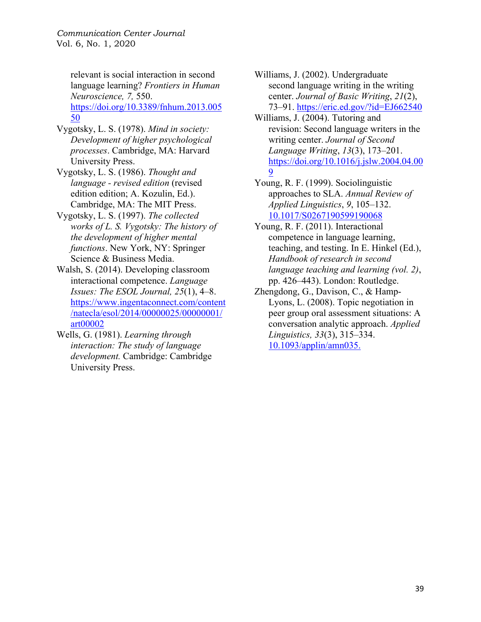> relevant is social interaction in second language learning? *Frontiers in Human Neuroscience, 7,* 550. https://doi.org/10.3389/fnhum.2013.005 50

- Vygotsky, L. S. (1978). *Mind in society: Development of higher psychological processes*. Cambridge, MA: Harvard University Press.
- Vygotsky, L. S. (1986). *Thought and language - revised edition* (revised edition edition; A. Kozulin, Ed.). Cambridge, MA: The MIT Press.
- Vygotsky, L. S. (1997). *The collected works of L. S. Vygotsky: The history of the development of higher mental functions*. New York, NY: Springer Science & Business Media.
- Walsh, S. (2014). Developing classroom interactional competence. *Language Issues: The ESOL Journal, 25*(1), 4–8. https://www.ingentaconnect.com/content /natecla/esol/2014/00000025/00000001/ art00002
- Wells, G. (1981). *Learning through interaction: The study of language development.* Cambridge: Cambridge University Press.

Williams, J. (2002). Undergraduate second language writing in the writing center. *Journal of Basic Writing*, *21*(2), 73–91. https://eric.ed.gov/?id=EJ662540

- Williams, J. (2004). Tutoring and revision: Second language writers in the writing center. *Journal of Second Language Writing*, *13*(3), 173–201. https://doi.org/10.1016/j.jslw.2004.04.00 9
- Young, R. F. (1999). Sociolinguistic approaches to SLA. *Annual Review of Applied Linguistics*, *9*, 105–132. 10.1017/S0267190599190068
- Young, R. F. (2011). Interactional competence in language learning, teaching, and testing. In E. Hinkel (Ed.), *Handbook of research in second language teaching and learning (vol. 2)*, pp. 426–443). London: Routledge.
- Zhengdong, G., Davison, C., & Hamp-Lyons, L. (2008). Topic negotiation in peer group oral assessment situations: A conversation analytic approach. *Applied Linguistics, 33*(3), 315–334. 10.1093/applin/amn035.